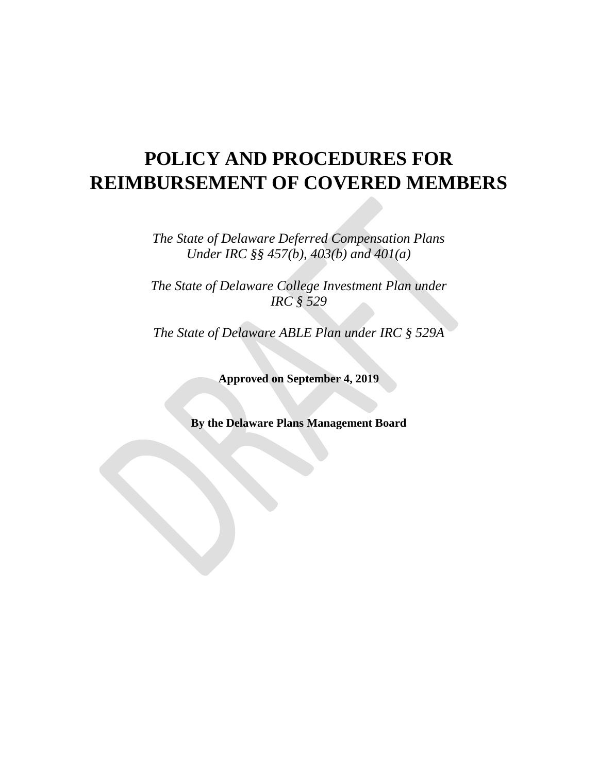# **POLICY AND PROCEDURES FOR REIMBURSEMENT OF COVERED MEMBERS**

*The State of Delaware Deferred Compensation Plans Under IRC §§ 457(b), 403(b) and 401(a)*

*The State of Delaware College Investment Plan under IRC § 529*

*The State of Delaware ABLE Plan under IRC § 529A*

**Approved on September 4, 2019**

**By the Delaware Plans Management Board**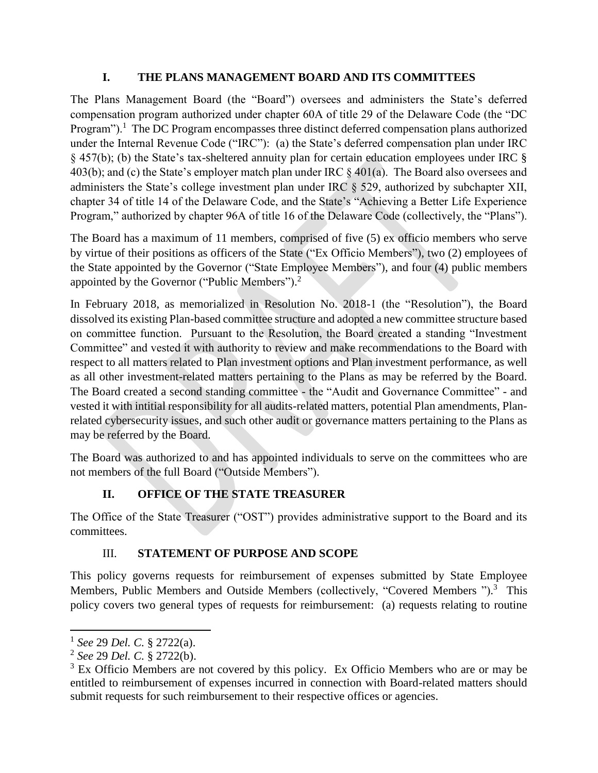#### **I. THE PLANS MANAGEMENT BOARD AND ITS COMMITTEES**

The Plans Management Board (the "Board") oversees and administers the State's deferred compensation program authorized under chapter 60A of title 29 of the Delaware Code (the "DC Program").<sup>1</sup> The DC Program encompasses three distinct deferred compensation plans authorized under the Internal Revenue Code ("IRC"): (a) the State's deferred compensation plan under IRC § 457(b); (b) the State's tax-sheltered annuity plan for certain education employees under IRC § 403(b); and (c) the State's employer match plan under IRC § 401(a). The Board also oversees and administers the State's college investment plan under IRC § 529, authorized by subchapter XII, chapter 34 of title 14 of the Delaware Code, and the State's "Achieving a Better Life Experience Program," authorized by chapter 96A of title 16 of the Delaware Code (collectively, the "Plans").

The Board has a maximum of 11 members, comprised of five (5) ex officio members who serve by virtue of their positions as officers of the State ("Ex Officio Members"), two (2) employees of the State appointed by the Governor ("State Employee Members"), and four (4) public members appointed by the Governor ("Public Members").<sup>2</sup>

In February 2018, as memorialized in Resolution No. 2018-1 (the "Resolution"), the Board dissolved its existing Plan-based committee structure and adopted a new committee structure based on committee function. Pursuant to the Resolution, the Board created a standing "Investment Committee" and vested it with authority to review and make recommendations to the Board with respect to all matters related to Plan investment options and Plan investment performance, as well as all other investment-related matters pertaining to the Plans as may be referred by the Board. The Board created a second standing committee - the "Audit and Governance Committee" - and vested it with intitial responsibility for all audits-related matters, potential Plan amendments, Planrelated cybersecurity issues, and such other audit or governance matters pertaining to the Plans as may be referred by the Board.

The Board was authorized to and has appointed individuals to serve on the committees who are not members of the full Board ("Outside Members").

# **II. OFFICE OF THE STATE TREASURER**

The Office of the State Treasurer ("OST") provides administrative support to the Board and its committees.

### III. **STATEMENT OF PURPOSE AND SCOPE**

This policy governs requests for reimbursement of expenses submitted by State Employee Members, Public Members and Outside Members (collectively, "Covered Members ").<sup>3</sup> This policy covers two general types of requests for reimbursement: (a) requests relating to routine

 $\overline{\phantom{a}}$ 1 *See* 29 *Del. C.* § 2722(a).

<sup>2</sup> *See* 29 *Del. C.* § 2722(b).

 $3$  Ex Officio Members are not covered by this policy. Ex Officio Members who are or may be entitled to reimbursement of expenses incurred in connection with Board-related matters should submit requests for such reimbursement to their respective offices or agencies.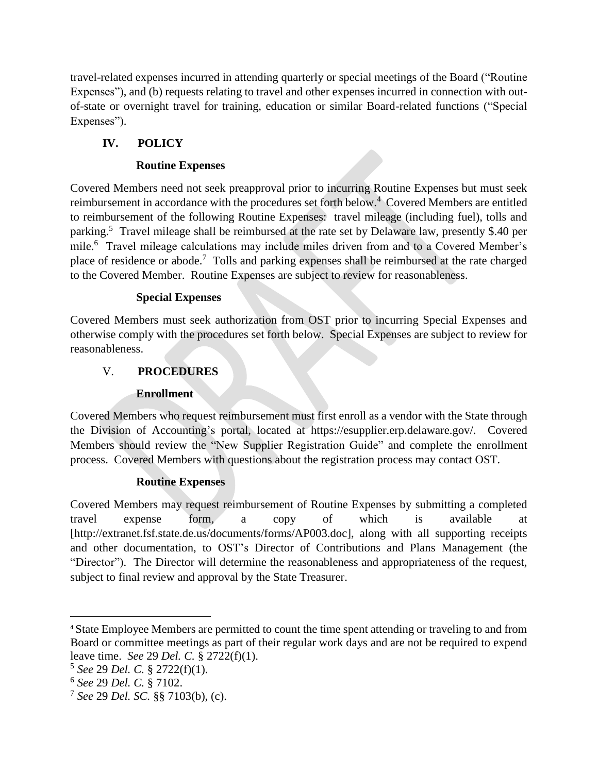travel-related expenses incurred in attending quarterly or special meetings of the Board ("Routine Expenses"), and (b) requests relating to travel and other expenses incurred in connection with outof-state or overnight travel for training, education or similar Board-related functions ("Special Expenses").

# **IV. POLICY**

### **Routine Expenses**

Covered Members need not seek preapproval prior to incurring Routine Expenses but must seek reimbursement in accordance with the procedures set forth below.<sup>4</sup> Covered Members are entitled to reimbursement of the following Routine Expenses: travel mileage (including fuel), tolls and parking.<sup>5</sup> Travel mileage shall be reimbursed at the rate set by Delaware law, presently \$.40 per mile.<sup>6</sup> Travel mileage calculations may include miles driven from and to a Covered Member's place of residence or abode.<sup>7</sup> Tolls and parking expenses shall be reimbursed at the rate charged to the Covered Member. Routine Expenses are subject to review for reasonableness.

### **Special Expenses**

Covered Members must seek authorization from OST prior to incurring Special Expenses and otherwise comply with the procedures set forth below. Special Expenses are subject to review for reasonableness.

## V. **PROCEDURES**

### **Enrollment**

Covered Members who request reimbursement must first enroll as a vendor with the State through the Division of Accounting's portal, located at https://esupplier.erp.delaware.gov/. Covered Members should review the "New Supplier Registration Guide" and complete the enrollment process. Covered Members with questions about the registration process may contact OST.

### **Routine Expenses**

Covered Members may request reimbursement of Routine Expenses by submitting a completed travel expense form, a copy of which is available at [http://extranet.fsf.state.de.us/documents/forms/AP003.doc], along with all supporting receipts and other documentation, to OST's Director of Contributions and Plans Management (the "Director"). The Director will determine the reasonableness and appropriateness of the request, subject to final review and approval by the State Treasurer.

 $\overline{\phantom{a}}$ 

<sup>4</sup> State Employee Members are permitted to count the time spent attending or traveling to and from Board or committee meetings as part of their regular work days and are not be required to expend leave time. *See* 29 *Del. C.* § 2722(f)(1).

<sup>5</sup> *See* 29 *Del. C.* § 2722(f)(1).

<sup>6</sup> *See* 29 *Del. C.* § 7102.

<sup>7</sup> *See* 29 *Del. SC.* §§ 7103(b), (c).